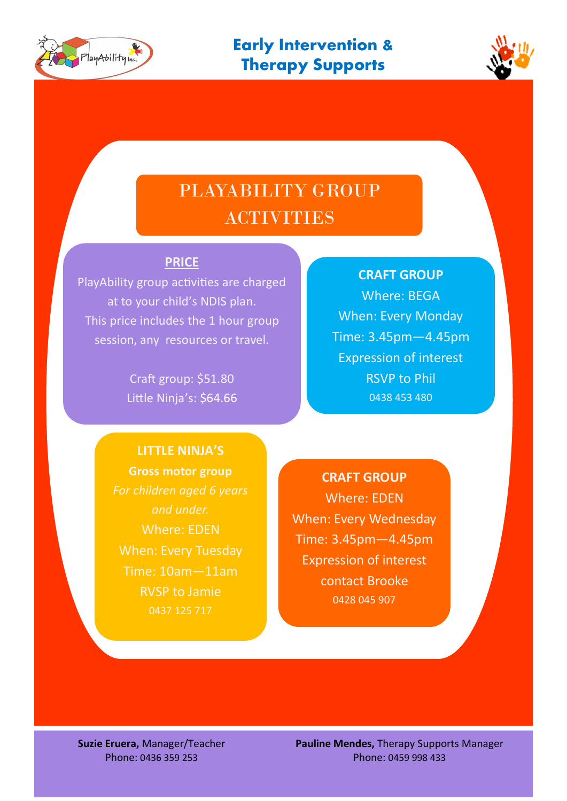



## PLAYABILITY GROUP ACTIVITIES

## **PRICE**

PlayAbility group activities are charged at to your child's NDIS plan. This price includes the 1 hour group session, any resources or travel.

> Craft group: \$51.80 Little Ninja's: \$64.66

## **CRAFT GROUP**

Where: BEGA When: Every Monday Time: 3.45pm—4.45pm Expression of interest RSVP to Phil 0438 453 480

**LITTLE NINJA'S Gross motor group** *For children aged 6 years and under.*  Where: EDEN When: Every Tuesday Time: 10am—11am RVSP to Jamie 0437 125 717

**CRAFT GROUP** Where: EDEN When: Every Wednesday Time: 3.45pm—4.45pm Expression of interest contact Brooke 0428 045 907

**Suzie Eruera,** Manager/Teacher Phone: 0436 359 253

**Pauline Mendes,** Therapy Supports Manager Phone: 0459 998 433